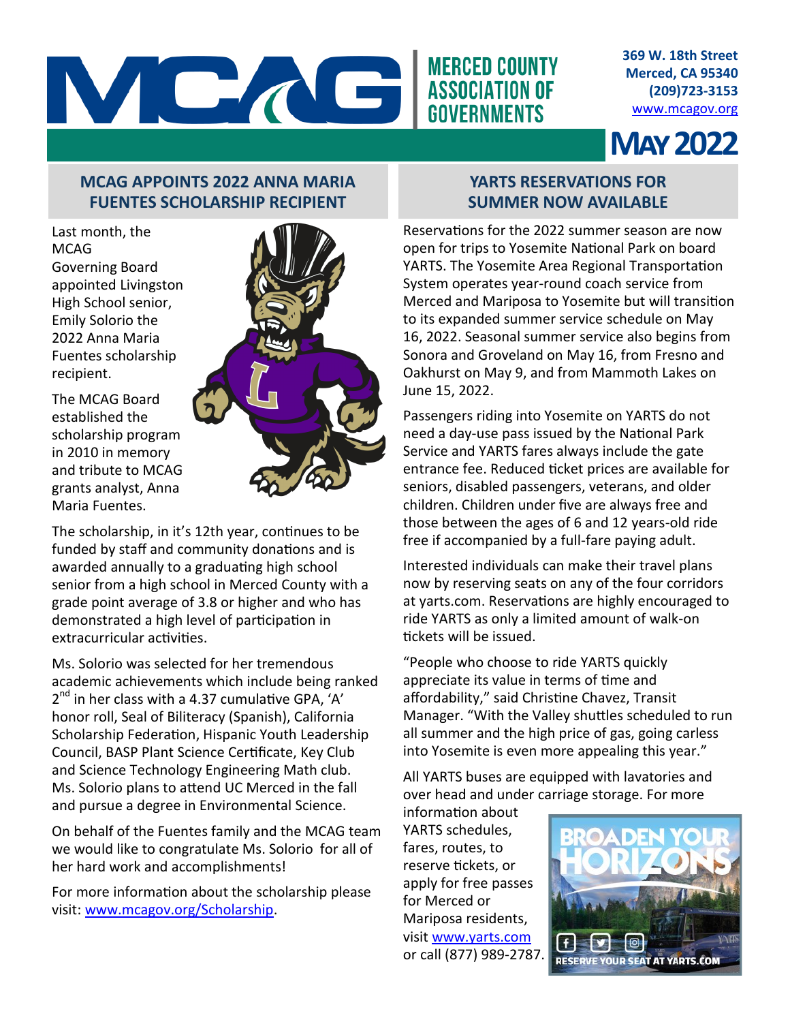

**369 W. 18th Street Merced, CA 95340 (209)723-3153** [www.mcagov.org](http://www.mcagov.org)

# **May 2022**

## **MCAG APPOINTS 2022 ANNA MARIA FUENTES SCHOLARSHIP RECIPIENT**

Last month, the MCAG Governing Board appointed Livingston High School senior, Emily Solorio the 2022 Anna Maria Fuentes scholarship recipient.

The MCAG Board established the scholarship program in 2010 in memory and tribute to MCAG grants analyst, Anna Maria Fuentes.



The scholarship, in it's 12th year, continues to be funded by staff and community donations and is awarded annually to a graduating high school senior from a high school in Merced County with a grade point average of 3.8 or higher and who has demonstrated a high level of participation in extracurricular activities.

Ms. Solorio was selected for her tremendous academic achievements which include being ranked 2<sup>nd</sup> in her class with a 4.37 cumulative GPA, 'A' honor roll, Seal of Biliteracy (Spanish), California Scholarship Federation, Hispanic Youth Leadership Council, BASP Plant Science Certificate, Key Club and Science Technology Engineering Math club. Ms. Solorio plans to attend UC Merced in the fall and pursue a degree in Environmental Science.

On behalf of the Fuentes family and the MCAG team we would like to congratulate Ms. Solorio for all of her hard work and accomplishments!

For more information about the scholarship please visit: [www.mcagov.org/Scholarship.](https://www.mcagov.org/217/Scholarship)

### **YARTS RESERVATIONS FOR SUMMER NOW AVAILABLE**

Reservations for the 2022 summer season are now open for trips to Yosemite National Park on board YARTS. The Yosemite Area Regional Transportation System operates year-round coach service from Merced and Mariposa to Yosemite but will transition to its expanded summer service schedule on May 16, 2022. Seasonal summer service also begins from Sonora and Groveland on May 16, from Fresno and Oakhurst on May 9, and from Mammoth Lakes on June 15, 2022.

Passengers riding into Yosemite on YARTS do not need a day-use pass issued by the National Park Service and YARTS fares always include the gate entrance fee. Reduced ticket prices are available for seniors, disabled passengers, veterans, and older children. Children under five are always free and those between the ages of 6 and 12 years-old ride free if accompanied by a full-fare paying adult.

Interested individuals can make their travel plans now by reserving seats on any of the four corridors at yarts.com. Reservations are highly encouraged to ride YARTS as only a limited amount of walk-on tickets will be issued.

"People who choose to ride YARTS quickly appreciate its value in terms of time and affordability," said Christine Chavez, Transit Manager. "With the Valley shuttles scheduled to run all summer and the high price of gas, going carless into Yosemite is even more appealing this year."

All YARTS buses are equipped with lavatories and over head and under carriage storage. For more

information about YARTS schedules, fares, routes, to reserve tickets, or apply for free passes for Merced or Mariposa residents, visit [www.yarts.com](https://yarts.com/) or call (877) 989-2787.

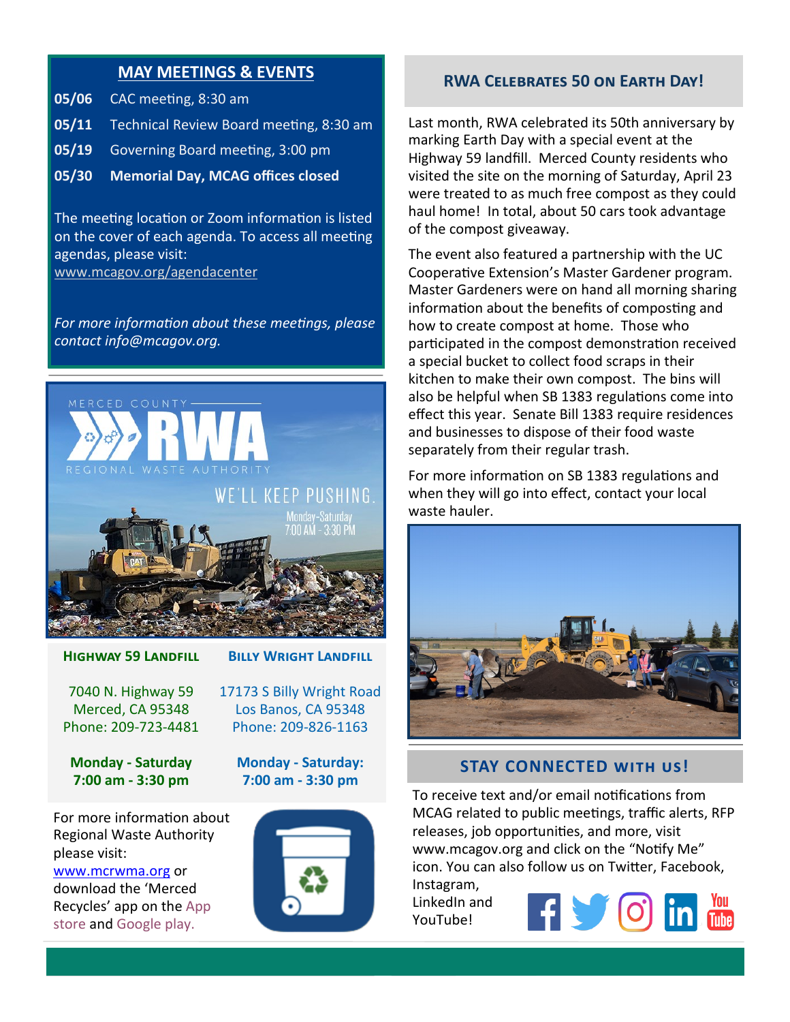#### **MAY MEETINGS & EVENTS**

- **05/06** CAC meeting, 8:30 am
- **05/11** Technical Review Board meeting, 8:30 am
- **05/19** Governing Board meeting, 3:00 pm
- **05/30 Memorial Day, MCAG offices closed**

The meeting location or Zoom information is listed on the cover of each agenda. To access all meeting agendas, please visit: [www.mcagov.org/agendacenter](http://www.mcagov.org/AgendaCenter)

*For more information about these meetings, please contact info@mcagov.org.* 



#### **Highway 59 Landfill**

7040 N. Highway 59 Merced, CA 95348 Phone: 209-723-4481

**Monday - Saturday 7:00 am - 3:30 pm**

For more information about Regional Waste Authority please visit:

[www.mcrwma.org](https://mcrwma.org/) or download the 'Merced Recycles' app on the App store and Google play.



**Billy Wright Landfill**

#### **Monday - Saturday: 7:00 am - 3:30 pm**



#### **RWA Celebrates 50 on Earth Day!**

Last month, RWA celebrated its 50th anniversary by marking Earth Day with a special event at the Highway 59 landfill. Merced County residents who visited the site on the morning of Saturday, April 23 were treated to as much free compost as they could haul home! In total, about 50 cars took advantage of the compost giveaway.

The event also featured a partnership with the UC Cooperative Extension's Master Gardener program. Master Gardeners were on hand all morning sharing information about the benefits of composting and how to create compost at home. Those who participated in the compost demonstration received a special bucket to collect food scraps in their kitchen to make their own compost. The bins will also be helpful when SB 1383 regulations come into effect this year. Senate Bill 1383 require residences and businesses to dispose of their food waste separately from their regular trash.

For more information on SB 1383 regulations and when they will go into effect, contact your local waste hauler.



#### **STAY CONNECTED with us!**

To receive text and/or email notifications from MCAG related to public meetings, traffic alerts, RFP releases, job opportunities, and more, visit www.mcagov.org and click on the "Notify Me" icon. You can also follow us on Twitter, Facebook, Instagram,

LinkedIn and YouTube!